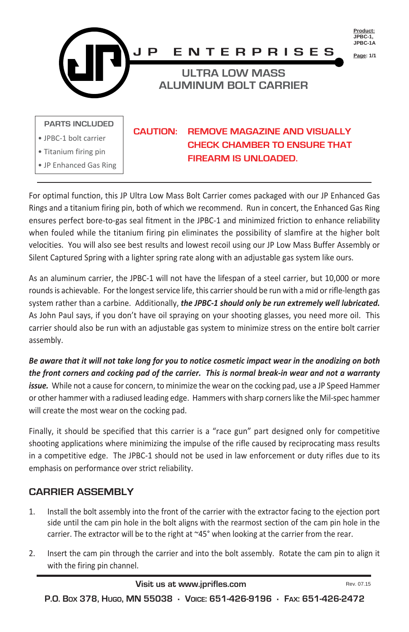

For optimal function, this JP Ultra Low Mass Bolt Carrier comes packaged with our JP Enhanced Gas Rings and a titanium firing pin, both of which we recommend. Run in concert, the Enhanced Gas Ring ensures perfect bore-to-gas seal fitment in the JPBC-1 and minimized friction to enhance reliability when fouled while the titanium firing pin eliminates the possibility of slamfire at the higher bolt velocities. You will also see best results and lowest recoil using our JP Low Mass Buffer Assembly or Silent Captured Spring with a lighter spring rate along with an adjustable gas system like ours.

As an aluminum carrier, the JPBC-1 will not have the lifespan of a steel carrier, but 10,000 or more rounds is achievable. For the longest service life, this carrier should be run with a mid or rifle-length gas system rather than a carbine. Additionally, *the JPBC-1 should only be run extremely well lubricated.* As John Paul says, if you don't have oil spraying on your shooting glasses, you need more oil. This carrier should also be run with an adjustable gas system to minimize stress on the entire bolt carrier assembly.

*Be aware that it will not take long for you to notice cosmetic impact wear in the anodizing on both the front corners and cocking pad of the carrier. This is normal break-in wear and not a warranty issue.* While not a cause for concern, to minimize the wear on the cocking pad, use a JP Speed Hammer or other hammer with a radiused leading edge. Hammers with sharp corners like the Mil-spec hammer will create the most wear on the cocking pad.

Finally, it should be specified that this carrier is a "race gun" part designed only for competitive shooting applications where minimizing the impulse of the rifle caused by reciprocating mass results in a competitive edge. The JPBC-1 should not be used in law enforcement or duty rifles due to its emphasis on performance over strict reliability.

## **CARRIER ASSEMBLY**

- 1. Install the bolt assembly into the front of the carrier with the extractor facing to the ejection port side until the cam pin hole in the bolt aligns with the rearmost section of the cam pin hole in the carrier. The extractor will be to the right at ~45° when looking at the carrier from the rear.
- 2. Insert the cam pin through the carrier and into the bolt assembly. Rotate the cam pin to align it with the firing pin channel.